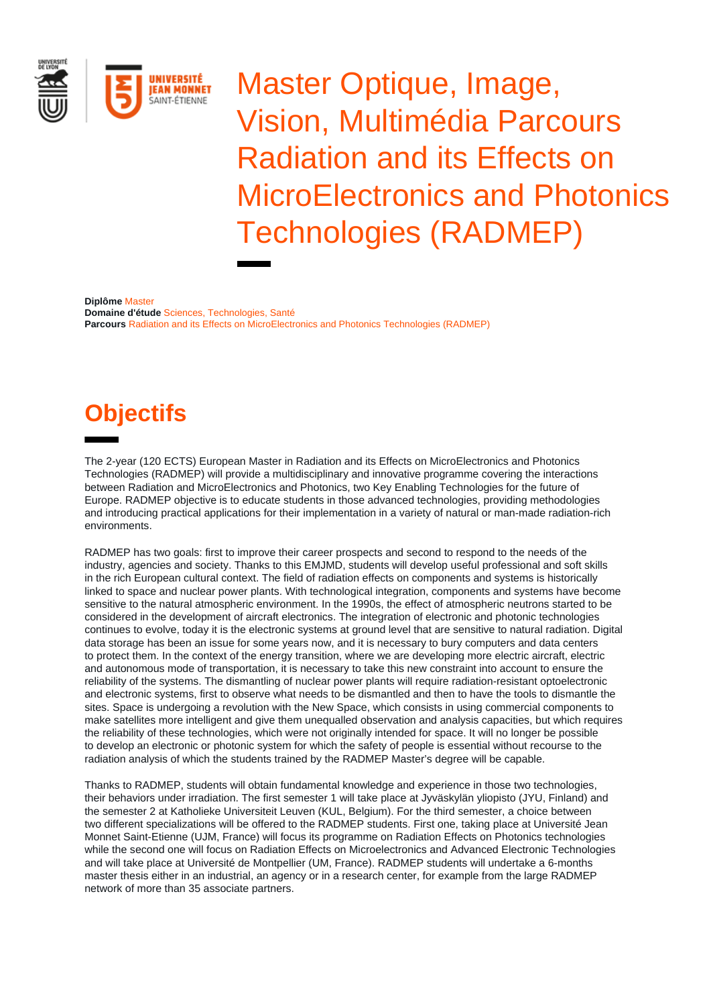

Master Optique, Image, Vision, Multimédia Parcours Radiation and its Effects on MicroElectronics and Photonics Technologies (RADMEP)

**Diplôme** Master **Domaine d'étude** Sciences, Technologies, Santé **Parcours** Radiation and its Effects on MicroElectronics and Photonics Technologies (RADMEP)

# **Objectifs**

The 2-year (120 ECTS) European Master in Radiation and its Effects on MicroElectronics and Photonics Technologies (RADMEP) will provide a multidisciplinary and innovative programme covering the interactions between Radiation and MicroElectronics and Photonics, two Key Enabling Technologies for the future of Europe. RADMEP objective is to educate students in those advanced technologies, providing methodologies and introducing practical applications for their implementation in a variety of natural or man-made radiation-rich environments.

RADMEP has two goals: first to improve their career prospects and second to respond to the needs of the industry, agencies and society. Thanks to this EMJMD, students will develop useful professional and soft skills in the rich European cultural context. The field of radiation effects on components and systems is historically linked to space and nuclear power plants. With technological integration, components and systems have become sensitive to the natural atmospheric environment. In the 1990s, the effect of atmospheric neutrons started to be considered in the development of aircraft electronics. The integration of electronic and photonic technologies continues to evolve, today it is the electronic systems at ground level that are sensitive to natural radiation. Digital data storage has been an issue for some years now, and it is necessary to bury computers and data centers to protect them. In the context of the energy transition, where we are developing more electric aircraft, electric and autonomous mode of transportation, it is necessary to take this new constraint into account to ensure the reliability of the systems. The dismantling of nuclear power plants will require radiation-resistant optoelectronic and electronic systems, first to observe what needs to be dismantled and then to have the tools to dismantle the sites. Space is undergoing a revolution with the New Space, which consists in using commercial components to make satellites more intelligent and give them unequalled observation and analysis capacities, but which requires the reliability of these technologies, which were not originally intended for space. It will no longer be possible to develop an electronic or photonic system for which the safety of people is essential without recourse to the radiation analysis of which the students trained by the RADMEP Master's degree will be capable.

Thanks to RADMEP, students will obtain fundamental knowledge and experience in those two technologies, their behaviors under irradiation. The first semester 1 will take place at Jyväskylän yliopisto (JYU, Finland) and the semester 2 at Katholieke Universiteit Leuven (KUL, Belgium). For the third semester, a choice between two different specializations will be offered to the RADMEP students. First one, taking place at Université Jean Monnet Saint-Etienne (UJM, France) will focus its programme on Radiation Effects on Photonics technologies while the second one will focus on Radiation Effects on Microelectronics and Advanced Electronic Technologies and will take place at Université de Montpellier (UM, France). RADMEP students will undertake a 6-months master thesis either in an industrial, an agency or in a research center, for example from the large RADMEP network of more than 35 associate partners.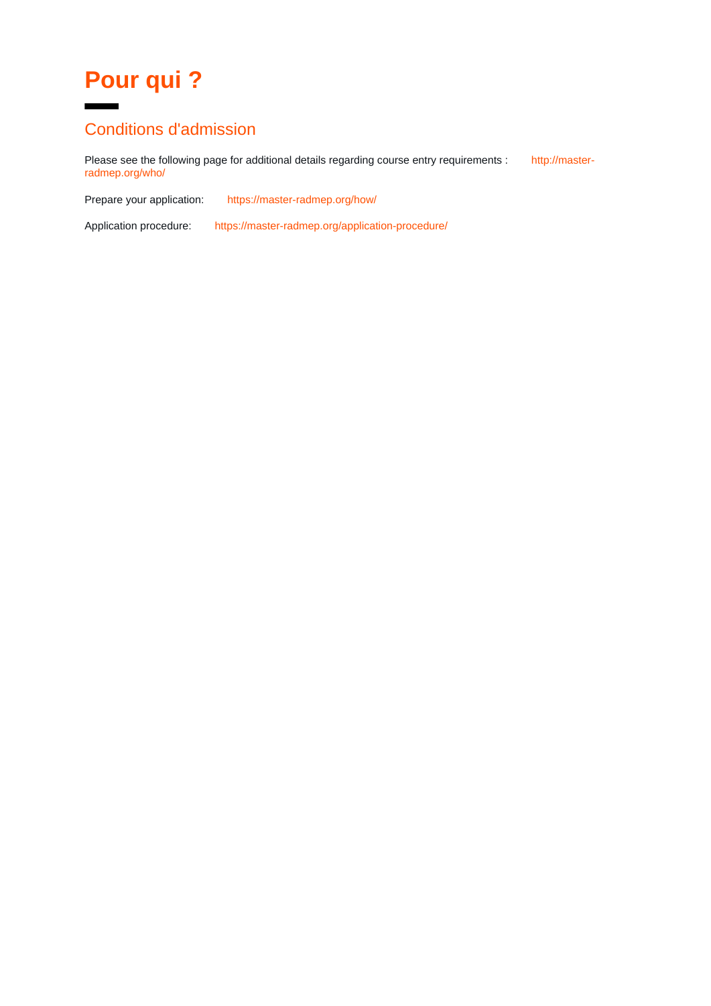# **Pour qui ?**

### Conditions d'admission

Please see the following page for additional details regarding course entry requirements : [http://master](http://master-radmep.org/who/)[radmep.org/who/](http://master-radmep.org/who/)

Prepare your application: <https://master-radmep.org/how/>

Application procedure: <https://master-radmep.org/application-procedure/>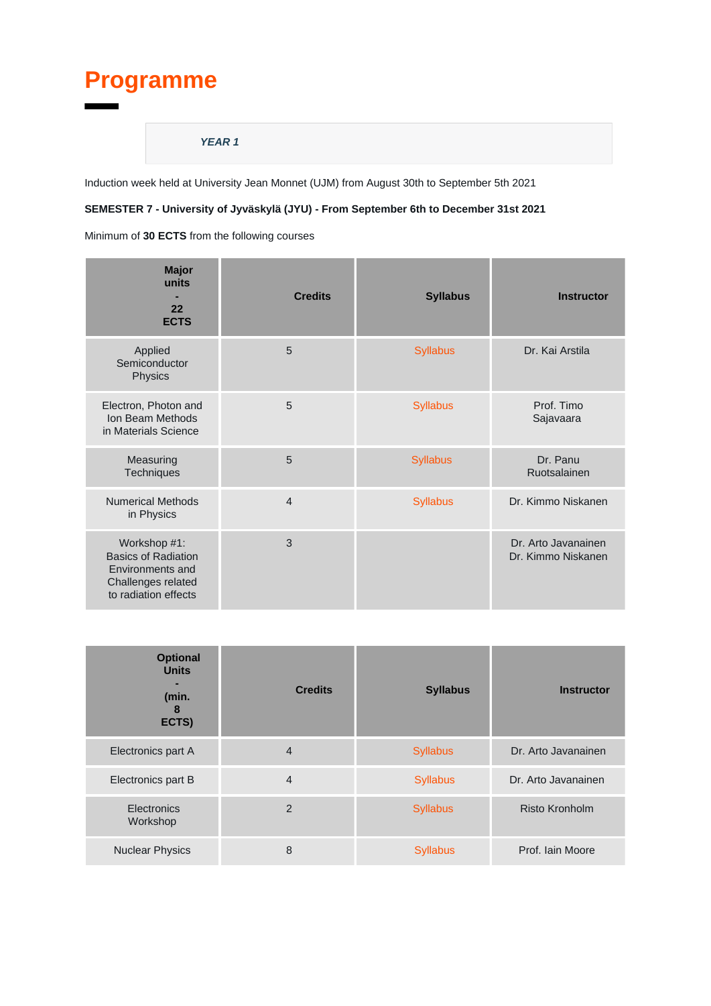# **Programme**

#### **YEAR 1**

Induction week held at University Jean Monnet (UJM) from August 30th to September 5th 2021

#### **SEMESTER 7 - University of Jyväskylä (JYU) - From September 6th to December 31st 2021**

| <b>Major</b><br>units<br>22<br><b>ECTS</b>                                                                   | <b>Credits</b> | <b>Syllabus</b> | <b>Instructor</b>                         |
|--------------------------------------------------------------------------------------------------------------|----------------|-----------------|-------------------------------------------|
| Applied<br>Semiconductor<br>Physics                                                                          | 5              | <b>Syllabus</b> | Dr. Kai Arstila                           |
| Electron, Photon and<br>Ion Beam Methods<br>in Materials Science                                             | 5              | <b>Syllabus</b> | Prof. Timo<br>Sajavaara                   |
| Measuring<br>Techniques                                                                                      | 5              | <b>Syllabus</b> | Dr. Panu<br>Ruotsalainen                  |
| <b>Numerical Methods</b><br>in Physics                                                                       | $\overline{4}$ | <b>Syllabus</b> | Dr. Kimmo Niskanen                        |
| Workshop #1:<br><b>Basics of Radiation</b><br>Environments and<br>Challenges related<br>to radiation effects | 3              |                 | Dr. Arto Javanainen<br>Dr. Kimmo Niskanen |

| <b>Optional</b><br><b>Units</b><br>(min.<br>8<br>ECTS) | <b>Credits</b> | <b>Syllabus</b> | <b>Instructor</b>   |
|--------------------------------------------------------|----------------|-----------------|---------------------|
| Electronics part A                                     | $\overline{4}$ | <b>Syllabus</b> | Dr. Arto Javanainen |
| Electronics part B                                     | $\overline{4}$ | <b>Syllabus</b> | Dr. Arto Javanainen |
| Electronics<br>Workshop                                | $\overline{2}$ | <b>Syllabus</b> | Risto Kronholm      |
| <b>Nuclear Physics</b>                                 | 8              | <b>Syllabus</b> | Prof. Iain Moore    |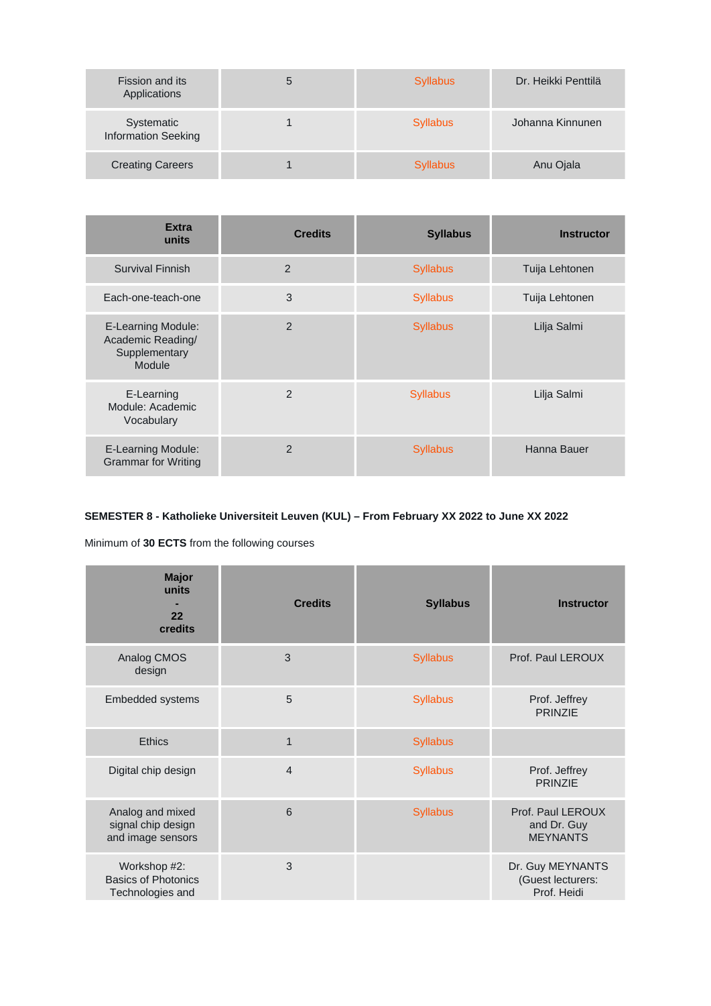| Fission and its<br>Applications          | 5 | <b>Syllabus</b> | Dr. Heikki Penttilä |
|------------------------------------------|---|-----------------|---------------------|
| Systematic<br><b>Information Seeking</b> |   | <b>Syllabus</b> | Johanna Kinnunen    |
| <b>Creating Careers</b>                  |   | <b>Syllabus</b> | Anu Ojala           |

| <b>Extra</b><br>units                                                     | <b>Credits</b> | <b>Syllabus</b> | <b>Instructor</b> |
|---------------------------------------------------------------------------|----------------|-----------------|-------------------|
| Survival Finnish                                                          | 2              | <b>Syllabus</b> | Tuija Lehtonen    |
| Each-one-teach-one                                                        | 3              | <b>Syllabus</b> | Tuija Lehtonen    |
| <b>E-Learning Module:</b><br>Academic Reading/<br>Supplementary<br>Module | 2              | <b>Syllabus</b> | Lilja Salmi       |
| E-Learning<br>Module: Academic<br>Vocabulary                              | $\overline{2}$ | <b>Syllabus</b> | Lilja Salmi       |
| <b>E-Learning Module:</b><br><b>Grammar for Writing</b>                   | $\overline{2}$ | <b>Syllabus</b> | Hanna Bauer       |

### **SEMESTER 8 - Katholieke Universiteit Leuven (KUL) – From February XX 2022 to June XX 2022**

| <b>Major</b><br>units<br>22<br>credits                         | <b>Credits</b> | <b>Syllabus</b> | <b>Instructor</b>                                    |
|----------------------------------------------------------------|----------------|-----------------|------------------------------------------------------|
| Analog CMOS<br>design                                          | 3              | <b>Syllabus</b> | Prof. Paul LEROUX                                    |
| Embedded systems                                               | 5              | <b>Syllabus</b> | Prof. Jeffrey<br><b>PRINZIE</b>                      |
| <b>Ethics</b>                                                  | $\mathbf{1}$   | <b>Syllabus</b> |                                                      |
| Digital chip design                                            | $\overline{4}$ | <b>Syllabus</b> | Prof. Jeffrey<br><b>PRINZIE</b>                      |
| Analog and mixed<br>signal chip design<br>and image sensors    | 6              | <b>Syllabus</b> | Prof. Paul LEROUX<br>and Dr. Guy<br><b>MEYNANTS</b>  |
| Workshop #2:<br><b>Basics of Photonics</b><br>Technologies and | 3              |                 | Dr. Guy MEYNANTS<br>(Guest lecturers:<br>Prof. Heidi |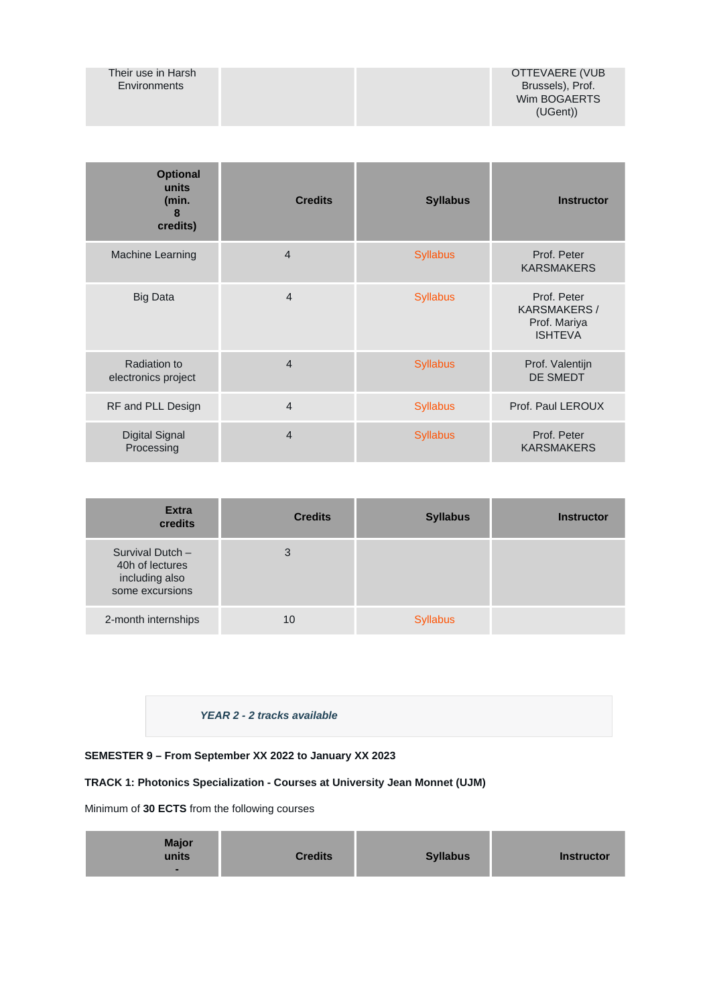#### Their use in Harsh Environments

| <b>Optional</b><br>units<br>(min.<br>8<br>credits) | <b>Credits</b> | <b>Syllabus</b> | <b>Instructor</b>                                                    |
|----------------------------------------------------|----------------|-----------------|----------------------------------------------------------------------|
| <b>Machine Learning</b>                            | $\overline{4}$ | <b>Syllabus</b> | Prof. Peter<br><b>KARSMAKERS</b>                                     |
| <b>Big Data</b>                                    | $\overline{4}$ | <b>Syllabus</b> | Prof. Peter<br><b>KARSMAKERS /</b><br>Prof. Mariya<br><b>ISHTEVA</b> |
| Radiation to<br>electronics project                | $\overline{4}$ | <b>Syllabus</b> | Prof. Valentijn<br><b>DE SMEDT</b>                                   |
| RF and PLL Design                                  | $\overline{4}$ | <b>Syllabus</b> | Prof. Paul LEROUX                                                    |
| <b>Digital Signal</b><br>Processing                | $\overline{4}$ | <b>Syllabus</b> | Prof. Peter<br><b>KARSMAKERS</b>                                     |

| <b>Extra</b><br>credits                                                  | <b>Credits</b> | <b>Syllabus</b> | <b>Instructor</b> |
|--------------------------------------------------------------------------|----------------|-----------------|-------------------|
| Survival Dutch -<br>40h of lectures<br>including also<br>some excursions | 3              |                 |                   |
| 2-month internships                                                      | 10             | <b>Syllabus</b> |                   |

#### **YEAR 2 - 2 tracks available**

#### **SEMESTER 9 – From September XX 2022 to January XX 2023**

#### **TRACK 1: Photonics Specialization - Courses at University Jean Monnet (UJM)**

| <b>Major</b><br><b>Credits</b><br><b>Syllabus</b><br>units<br>- | <b>Instructor</b> |
|-----------------------------------------------------------------|-------------------|
|-----------------------------------------------------------------|-------------------|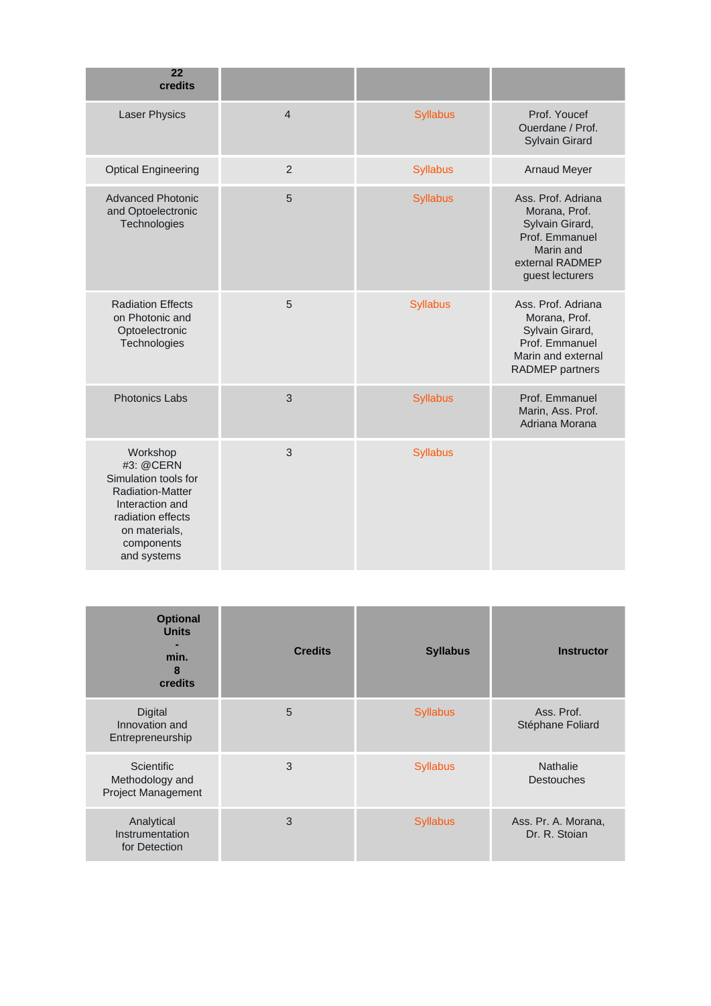| 22<br>credits                                                                                                                                                  |                |                 |                                                                                                                             |
|----------------------------------------------------------------------------------------------------------------------------------------------------------------|----------------|-----------------|-----------------------------------------------------------------------------------------------------------------------------|
| <b>Laser Physics</b>                                                                                                                                           | $\overline{4}$ | <b>Syllabus</b> | Prof. Youcef<br>Ouerdane / Prof.<br><b>Sylvain Girard</b>                                                                   |
| <b>Optical Engineering</b>                                                                                                                                     | $\overline{2}$ | <b>Syllabus</b> | <b>Arnaud Meyer</b>                                                                                                         |
| <b>Advanced Photonic</b><br>and Optoelectronic<br>Technologies                                                                                                 | 5              | <b>Syllabus</b> | Ass. Prof. Adriana<br>Morana, Prof.<br>Sylvain Girard,<br>Prof. Emmanuel<br>Marin and<br>external RADMEP<br>guest lecturers |
| <b>Radiation Effects</b><br>on Photonic and<br>Optoelectronic<br>Technologies                                                                                  | 5              | <b>Syllabus</b> | Ass. Prof. Adriana<br>Morana, Prof.<br>Sylvain Girard,<br>Prof. Emmanuel<br>Marin and external<br><b>RADMEP</b> partners    |
| <b>Photonics Labs</b>                                                                                                                                          | 3              | <b>Syllabus</b> | Prof. Emmanuel<br>Marin, Ass. Prof.<br>Adriana Morana                                                                       |
| Workshop<br>#3: @CERN<br>Simulation tools for<br><b>Radiation-Matter</b><br>Interaction and<br>radiation effects<br>on materials,<br>components<br>and systems | 3              | <b>Syllabus</b> |                                                                                                                             |

| <b>Optional</b><br><b>Units</b><br>min.<br>8<br>credits           | <b>Credits</b> | <b>Syllabus</b> | <b>Instructor</b>                    |
|-------------------------------------------------------------------|----------------|-----------------|--------------------------------------|
| <b>Digital</b><br>Innovation and<br>Entrepreneurship              | 5              | <b>Syllabus</b> | Ass. Prof.<br>Stéphane Foliard       |
| <b>Scientific</b><br>Methodology and<br><b>Project Management</b> | 3              | <b>Syllabus</b> | <b>Nathalie</b><br><b>Destouches</b> |
| Analytical<br>Instrumentation<br>for Detection                    | 3              | <b>Syllabus</b> | Ass. Pr. A. Morana,<br>Dr. R. Stoian |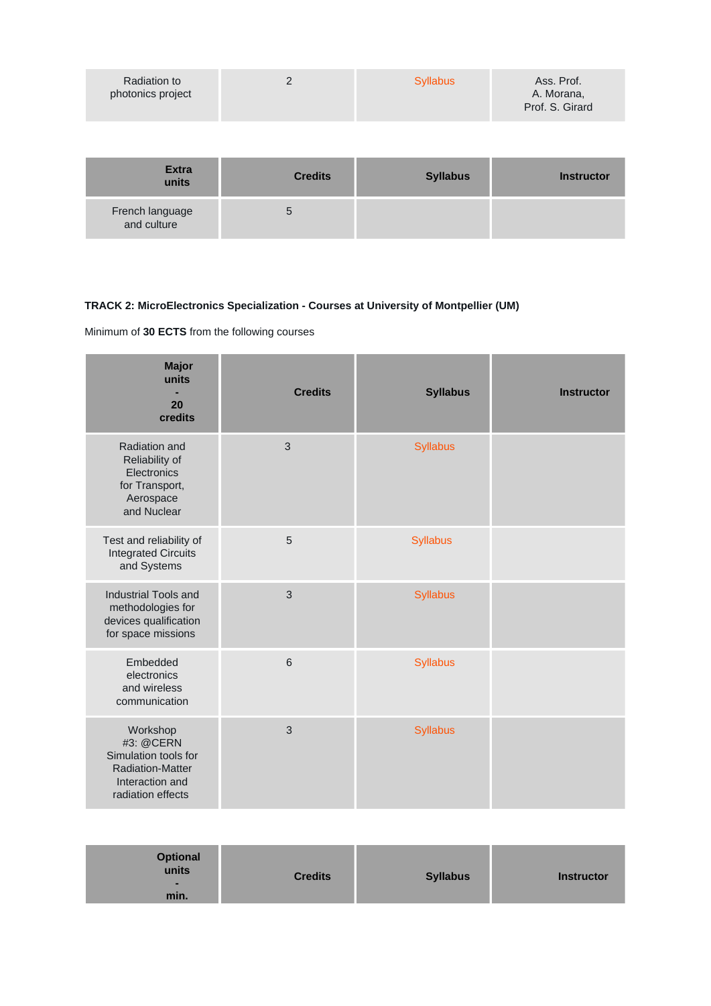| Radiation to<br>photonics project |  | <b>Syllabus</b> | Ass. Prof.<br>A. Morana,<br>Prof. S. Girard |
|-----------------------------------|--|-----------------|---------------------------------------------|
|-----------------------------------|--|-----------------|---------------------------------------------|

| <b>Extra</b><br>units          | <b>Credits</b> | <b>Syllabus</b> | <b>Instructor</b> |
|--------------------------------|----------------|-----------------|-------------------|
| French language<br>and culture |                |                 |                   |

### **TRACK 2: MicroElectronics Specialization - Courses at University of Montpellier (UM)**

| <b>Major</b><br>units<br>20<br>credits                                                                           | <b>Credits</b> | <b>Syllabus</b> | <b>Instructor</b> |
|------------------------------------------------------------------------------------------------------------------|----------------|-----------------|-------------------|
| Radiation and<br>Reliability of<br>Electronics<br>for Transport,<br>Aerospace<br>and Nuclear                     | 3              | <b>Syllabus</b> |                   |
| Test and reliability of<br><b>Integrated Circuits</b><br>and Systems                                             | 5              | <b>Syllabus</b> |                   |
| Industrial Tools and<br>methodologies for<br>devices qualification<br>for space missions                         | 3              | <b>Syllabus</b> |                   |
| Embedded<br>electronics<br>and wireless<br>communication                                                         | $6\phantom{1}$ | <b>Syllabus</b> |                   |
| Workshop<br>#3: @CERN<br>Simulation tools for<br><b>Radiation-Matter</b><br>Interaction and<br>radiation effects | 3              | <b>Syllabus</b> |                   |

| <b>Optional</b><br>units<br><b>Credits</b><br>min. | <b>Syllabus</b> | <b>Instructor</b> |
|----------------------------------------------------|-----------------|-------------------|
|----------------------------------------------------|-----------------|-------------------|